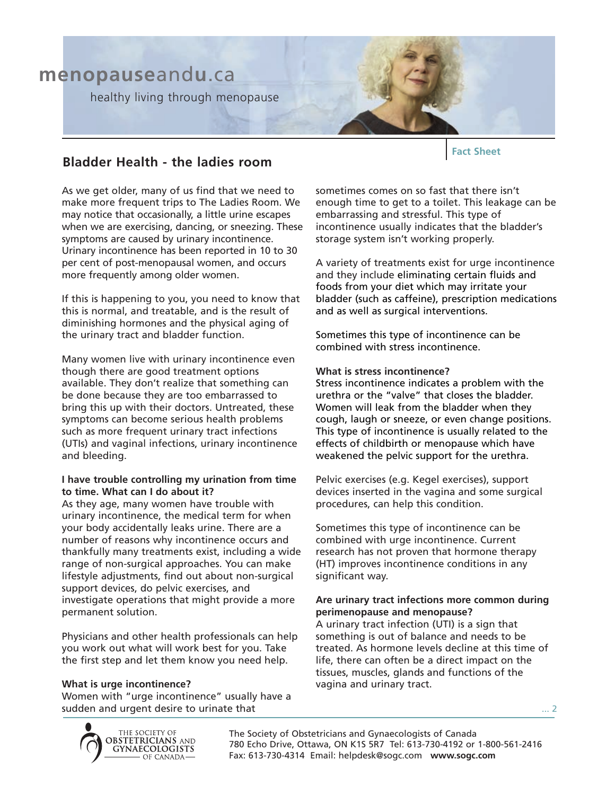

# **Bladder Health - the ladies room**

As we get older, many of us find that we need to make more frequent trips to The Ladies Room. We may notice that occasionally, a little urine escapes when we are exercising, dancing, or sneezing. These symptoms are caused by urinary incontinence. Urinary incontinence has been reported in 10 to 30 per cent of post-menopausal women, and occurs more frequently among older women.

If this is happening to you, you need to know that this is normal, and treatable, and is the result of diminishing hormones and the physical aging of the urinary tract and bladder function.

Many women live with urinary incontinence even though there are good treatment options available. They don't realize that something can be done because they are too embarrassed to bring this up with their doctors. Untreated, these symptoms can become serious health problems such as more frequent urinary tract infections (UTIs) and vaginal infections, urinary incontinence and bleeding.

## **I have trouble controlling my urination from time to time. What can I do about it?**

As they age, many women have trouble with urinary incontinence, the medical term for when your body accidentally leaks urine. There are a number of reasons why incontinence occurs and thankfully many treatments exist, including a wide range of non-surgical approaches. You can make lifestyle adjustments, find out about non-surgical support devices, do pelvic exercises, and investigate operations that might provide a more permanent solution.

Physicians and other health professionals can help you work out what will work best for you. Take the first step and let them know you need help.

#### **What is urge incontinence?**

Women with "urge incontinence" usually have a sudden and urgent desire to urinate that

sometimes comes on so fast that there isn't enough time to get to a toilet. This leakage can be embarrassing and stressful. This type of incontinence usually indicates that the bladder's storage system isn't working properly.

**Fact Sheet**

A variety of treatments exist for urge incontinence and they include eliminating certain fluids and foods from your diet which may irritate your bladder (such as caffeine), prescription medications and as well as surgical interventions.

Sometimes this type of incontinence can be combined with stress incontinence.

#### **What is stress incontinence?**

Stress incontinence indicates a problem with the urethra or the "valve" that closes the bladder. Women will leak from the bladder when they cough, laugh or sneeze, or even change positions. This type of incontinence is usually related to the effects of childbirth or menopause which have weakened the pelvic support for the urethra.

Pelvic exercises (e.g. Kegel exercises), support devices inserted in the vagina and some surgical procedures, can help this condition.

Sometimes this type of incontinence can be combined with urge incontinence. Current research has not proven that hormone therapy (HT) improves incontinence conditions in any significant way.

#### **Are urinary tract infections more common during perimenopause and menopause?**

A urinary tract infection (UTI) is a sign that something is out of balance and needs to be treated. As hormone levels decline at this time of life, there can often be a direct impact on the tissues, muscles, glands and functions of the vagina and urinary tract.



The Society of Obstetricians and Gynaecologists of Canada 780 Echo Drive, Ottawa, ON K1S 5R7 Tel: 613-730-4192 or 1-800-561-2416 Fax: 613-730-4314 Email: helpdesk@sogc.com **www.sogc.com**